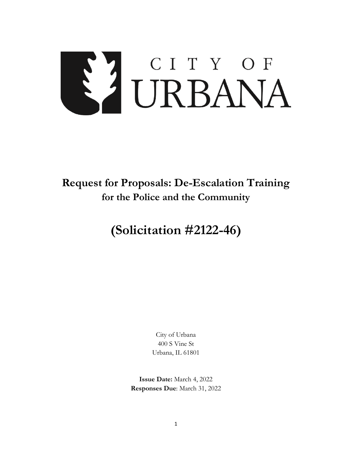# S'I CITY OF

## **Request for Proposals: De-Escalation Training for the Police and the Community**

# **(Solicitation #2122-46)**

City of Urbana 400 S Vine St Urbana, IL 61801

**Issue Date:** March 4, 2022 **Responses Due**: March 31, 2022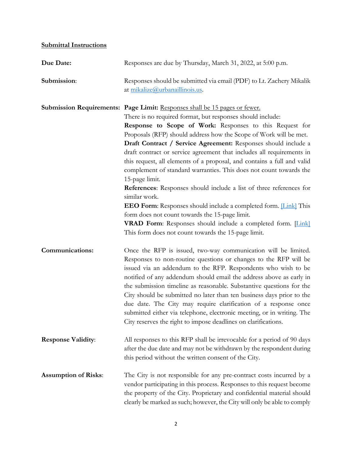### **Submittal Instructions**

| Due Date:                   | Responses are due by Thursday, March 31, 2022, at 5:00 p.m.                                                                                                                                                                                                                                                                                                                                                                                                                                                                                                                                                                                                                                                                                                                                                                                                                                                                                              |  |
|-----------------------------|----------------------------------------------------------------------------------------------------------------------------------------------------------------------------------------------------------------------------------------------------------------------------------------------------------------------------------------------------------------------------------------------------------------------------------------------------------------------------------------------------------------------------------------------------------------------------------------------------------------------------------------------------------------------------------------------------------------------------------------------------------------------------------------------------------------------------------------------------------------------------------------------------------------------------------------------------------|--|
| Submission:                 | Responses should be submitted via email (PDF) to Lt. Zachery Mikalik<br>at mikalize@urbanaillinois.us.                                                                                                                                                                                                                                                                                                                                                                                                                                                                                                                                                                                                                                                                                                                                                                                                                                                   |  |
|                             | Submission Requirements: Page Limit: Responses shall be 15 pages or fewer.<br>There is no required format, but responses should include:<br>Response to Scope of Work: Responses to this Request for<br>Proposals (RFP) should address how the Scope of Work will be met.<br>Draft Contract / Service Agreement: Responses should include a<br>draft contract or service agreement that includes all requirements in<br>this request, all elements of a proposal, and contains a full and valid<br>complement of standard warranties. This does not count towards the<br>15-page limit.<br><b>References:</b> Responses should include a list of three references for<br>similar work.<br><b>EEO Form:</b> Responses should include a completed form. <i>[Link]</i> This<br>form does not count towards the 15-page limit.<br><b>VRAD Form:</b> Responses should include a completed form. [Link]<br>This form does not count towards the 15-page limit. |  |
| Communications:             | Once the RFP is issued, two-way communication will be limited.<br>Responses to non-routine questions or changes to the RFP will be<br>issued via an addendum to the RFP. Respondents who wish to be<br>notified of any addendum should email the address above as early in<br>the submission timeline as reasonable. Substantive questions for the<br>City should be submitted no later than ten business days prior to the<br>due date. The City may require clarification of a response once<br>submitted either via telephone, electronic meeting, or in writing. The<br>City reserves the right to impose deadlines on clarifications.                                                                                                                                                                                                                                                                                                               |  |
| <b>Response Validity:</b>   | All responses to this RFP shall be irrevocable for a period of 90 days<br>after the due date and may not be withdrawn by the respondent during<br>this period without the written consent of the City.                                                                                                                                                                                                                                                                                                                                                                                                                                                                                                                                                                                                                                                                                                                                                   |  |
| <b>Assumption of Risks:</b> | The City is not responsible for any pre-contract costs incurred by a<br>vendor participating in this process. Responses to this request become<br>the property of the City. Proprietary and confidential material should<br>clearly be marked as such; however, the City will only be able to comply                                                                                                                                                                                                                                                                                                                                                                                                                                                                                                                                                                                                                                                     |  |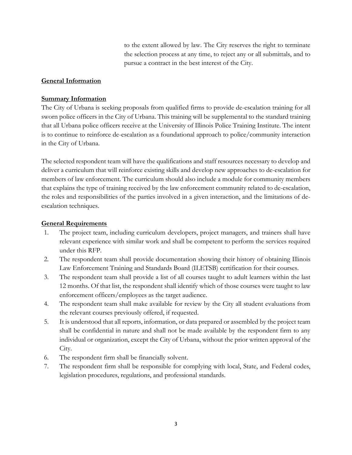to the extent allowed by law. The City reserves the right to terminate the selection process at any time, to reject any or all submittals, and to pursue a contract in the best interest of the City.

### **General Information**

### **Summary Information**

The City of Urbana is seeking proposals from qualified firms to provide de-escalation training for all sworn police officers in the City of Urbana. This training will be supplemental to the standard training that all Urbana police officers receive at the University of Illinois Police Training Institute. The intent is to continue to reinforce de-escalation as a foundational approach to police/community interaction in the City of Urbana.

The selected respondent team will have the qualifications and staff resources necessary to develop and deliver a curriculum that will reinforce existing skills and develop new approaches to de-escalation for members of law enforcement. The curriculum should also include a module for community members that explains the type of training received by the law enforcement community related to de-escalation, the roles and responsibilities of the parties involved in a given interaction, and the limitations of deescalation techniques.

### **General Requirements**

- 1. The project team, including curriculum developers, project managers, and trainers shall have relevant experience with similar work and shall be competent to perform the services required under this RFP.
- 2. The respondent team shall provide documentation showing their history of obtaining Illinois Law Enforcement Training and Standards Board (ILETSB) certification for their courses.
- 3. The respondent team shall provide a list of all courses taught to adult learners within the last 12 months. Of that list, the respondent shall identify which of those courses were taught to law enforcement officers/employees as the target audience.
- 4. The respondent team shall make available for review by the City all student evaluations from the relevant courses previously offered, if requested.
- 5. It is understood that all reports, information, or data prepared or assembled by the project team shall be confidential in nature and shall not be made available by the respondent firm to any individual or organization, except the City of Urbana, without the prior written approval of the City.
- 6. The respondent firm shall be financially solvent.
- 7. The respondent firm shall be responsible for complying with local, State, and Federal codes, legislation procedures, regulations, and professional standards.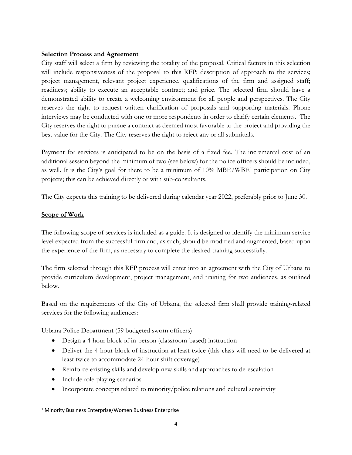### **Selection Process and Agreement**

City staff will select a firm by reviewing the totality of the proposal. Critical factors in this selection will include responsiveness of the proposal to this RFP; description of approach to the services; project management, relevant project experience, qualifications of the firm and assigned staff; readiness; ability to execute an acceptable contract; and price. The selected firm should have a demonstrated ability to create a welcoming environment for all people and perspectives. The City reserves the right to request written clarification of proposals and supporting materials. Phone interviews may be conducted with one or more respondents in order to clarify certain elements. The City reserves the right to pursue a contract as deemed most favorable to the project and providing the best value for the City. The City reserves the right to reject any or all submittals.

Payment for services is anticipated to be on the basis of a fixed fee. The incremental cost of an additional session beyond the minimum of two (see below) for the police officers should be included, as well. It is the City's goal for there to be a minimum of  $10\% \text{ MBE/WBE}^1$  $10\% \text{ MBE/WBE}^1$  participation on City projects; this can be achieved directly or with sub-consultants.

The City expects this training to be delivered during calendar year 2022, preferably prior to June 30.

### **Scope of Work**

The following scope of services is included as a guide. It is designed to identify the minimum service level expected from the successful firm and, as such, should be modified and augmented, based upon the experience of the firm, as necessary to complete the desired training successfully.

The firm selected through this RFP process will enter into an agreement with the City of Urbana to provide curriculum development, project management, and training for two audiences, as outlined below.

Based on the requirements of the City of Urbana, the selected firm shall provide training-related services for the following audiences:

Urbana Police Department (59 budgeted sworn officers)

- Design a 4-hour block of in-person (classroom-based) instruction
- Deliver the 4-hour block of instruction at least twice (this class will need to be delivered at least twice to accommodate 24-hour shift coverage)
- Reinforce existing skills and develop new skills and approaches to de-escalation
- Include role-playing scenarios
- Incorporate concepts related to minority/police relations and cultural sensitivity

<span id="page-3-0"></span> <sup>1</sup> Minority Business Enterprise/Women Business Enterprise